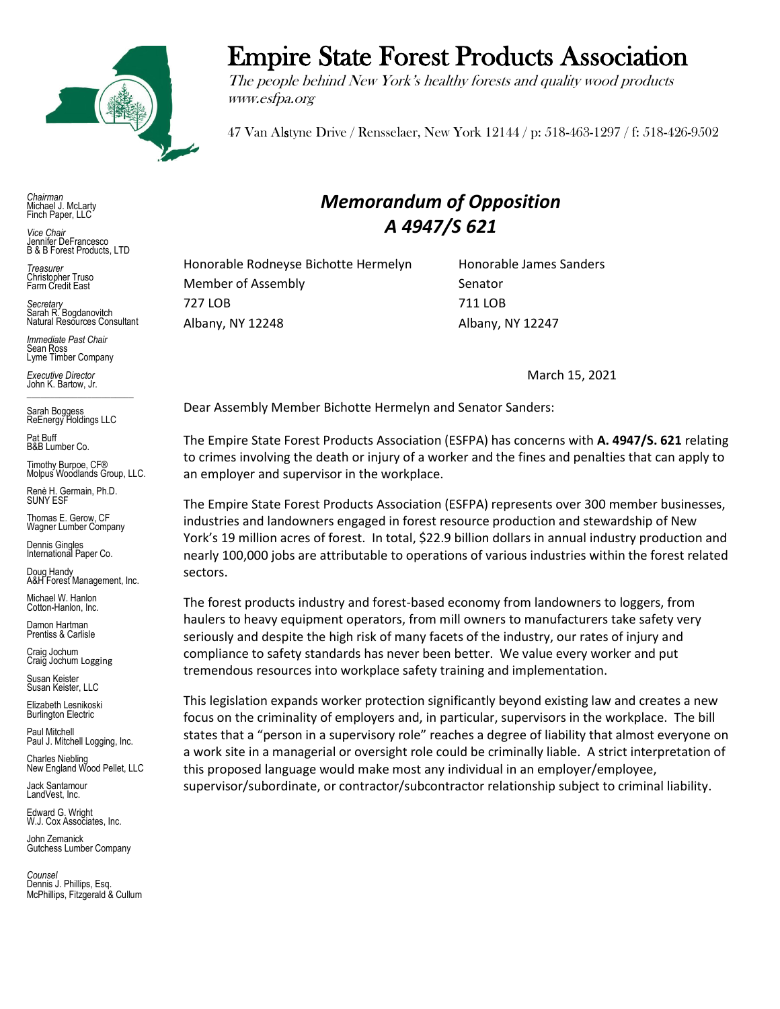

*Chairman* Michael J. McLarty Finch Paper, LLC

*Vice Chair* Jennifer DeFrancesco B & B Forest Products, LTD

*Treasurer* Christopher Truso Farm Credit East

*Secretary* Sarah R. Bogdanovitch Natural Resources Consultant

*Immediate Past Chair* Sean Ross Lyme Timber Company

*Executive Director* John K. Bartow, Jr.  $\mathcal{L}_\text{max}$  , we can also the set of the set of the set of the set of the set of the set of the set of the set of the set of the set of the set of the set of the set of the set of the set of the set of the set of the se

Sarah Boggess ReEnergy Holdings LLC

Pat Buff B&B Lumber Co.

Timothy Burpoe, CF® Molpus Woodlands Group, LLC.

Renè H. Germain, Ph.D. SUNY ESF

Thomas E. Gerow, CF Wagner Lumber Company

Dennis Gingles International Paper Co.

Doug Handy A&H Forest Management, Inc.

Michael W. Hanlon Cotton-Hanlon, Inc.

Damon Hartman Prentiss & Carlisle

Craig Jochum Craig Jochum Logging

Susan Keister Susan Keister, LLC

Elizabeth Lesnikoski Burlington Electric

Paul Mitchell Paul J. Mitchell Logging, Inc.

Charles Niebling New England Wood Pellet, LLC

Jack Santamour LandVest, Inc.

Edward G. Wright W.J. Cox Associates, Inc.

John Zemanick Gutchess Lumber Company

*Counsel* Dennis J. Phillips, Esq. McPhillips, Fitzgerald & Cullum

## Empire State Forest Products Association

The people behind New York's healthy forests and quality wood products www.esfpa.org

47 Van Alstyne Drive / Rensselaer, New York 12144 / p: 518-463-1297 / f: 518-426-9502

## *Memorandum of Opposition A 4947/S 621*

Honorable Rodneyse Bichotte Hermelyn Honorable James Sanders Member of Assembly Senator 727 LOB 711 LOB Albany, NY 12248 Albany, NY 12247

March 15, 2021

Dear Assembly Member Bichotte Hermelyn and Senator Sanders:

The Empire State Forest Products Association (ESFPA) has concerns with **A. 4947/S. 621** relating to crimes involving the death or injury of a worker and the fines and penalties that can apply to an employer and supervisor in the workplace.

The Empire State Forest Products Association (ESFPA) represents over 300 member businesses, industries and landowners engaged in forest resource production and stewardship of New York's 19 million acres of forest. In total, \$22.9 billion dollars in annual industry production and nearly 100,000 jobs are attributable to operations of various industries within the forest related sectors.

The forest products industry and forest-based economy from landowners to loggers, from haulers to heavy equipment operators, from mill owners to manufacturers take safety very seriously and despite the high risk of many facets of the industry, our rates of injury and compliance to safety standards has never been better. We value every worker and put tremendous resources into workplace safety training and implementation.

This legislation expands worker protection significantly beyond existing law and creates a new focus on the criminality of employers and, in particular, supervisors in the workplace. The bill states that a "person in a supervisory role" reaches a degree of liability that almost everyone on a work site in a managerial or oversight role could be criminally liable. A strict interpretation of this proposed language would make most any individual in an employer/employee, supervisor/subordinate, or contractor/subcontractor relationship subject to criminal liability.